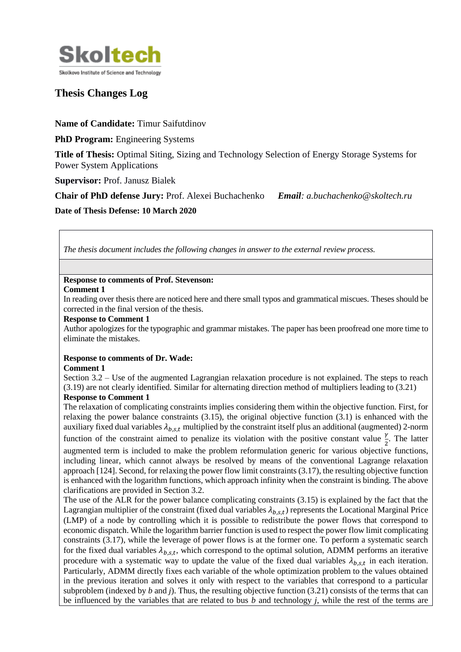

# **Thesis Changes Log**

**Name of Candidate:** Timur Saifutdinov

**PhD Program:** Engineering Systems

**Title of Thesis:** Optimal Siting, Sizing and Technology Selection of Energy Storage Systems for Power System Applications

**Supervisor:** Prof. Janusz Bialek

**Chair of PhD defense Jury:** Prof. Alexei Buchachenko *Email: a.buchachenko@skoltech.ru* **Date of Thesis Defense: 10 March 2020**

*The thesis document includes the following changes in answer to the external review process.*

# **Response to comments of Prof. Stevenson:**

#### **Comment 1**

In reading over thesis there are noticed here and there small typos and grammatical miscues. Theses should be corrected in the final version of the thesis.

## **Response to Comment 1**

Author apologizes for the typographic and grammar mistakes. The paper has been proofread one more time to eliminate the mistakes.

## **Response to comments of Dr. Wade:**

## **Comment 1**

Section 3.2 – Use of the augmented Lagrangian relaxation procedure is not explained. The steps to reach (3.19) are not clearly identified. Similar for alternating direction method of multipliers leading to (3.21) **Response to Comment 1**

The relaxation of complicating constraints implies considering them within the objective function. First, for relaxing the power balance constraints (3.15), the original objective function (3.1) is enhanced with the auxiliary fixed dual variables  $\lambda_{h,s,t}$  multiplied by the constraint itself plus an additional (augmented) 2-norm function of the constraint aimed to penalize its violation with the positive constant value  $\frac{\gamma}{2}$ . The latter augmented term is included to make the problem reformulation generic for various objective functions, including linear, which cannot always be resolved by means of the conventional Lagrange relaxation approach [124]. Second, for relaxing the power flow limit constraints (3.17), the resulting objective function is enhanced with the logarithm functions, which approach infinity when the constraint is binding. The above clarifications are provided in Section 3.2.

The use of the ALR for the power balance complicating constraints (3.15) is explained by the fact that the Lagrangian multiplier of the constraint (fixed dual variables  $\lambda_{b,s,t}$ ) represents the Locational Marginal Price (LMP) of a node by controlling which it is possible to redistribute the power flows that correspond to economic dispatch. While the logarithm barrier function is used to respect the power flow limit complicating constraints (3.17), while the leverage of power flows is at the former one. To perform a systematic search for the fixed dual variables  $\lambda_{b,s,t}$ , which correspond to the optimal solution, ADMM performs an iterative procedure with a systematic way to update the value of the fixed dual variables  $\lambda_{b,s,t}$  in each iteration. Particularly, ADMM directly fixes each variable of the whole optimization problem to the values obtained in the previous iteration and solves it only with respect to the variables that correspond to a particular subproblem (indexed by *b* and *j*). Thus, the resulting objective function (3.21) consists of the terms that can be influenced by the variables that are related to bus *b* and technology *j*, while the rest of the terms are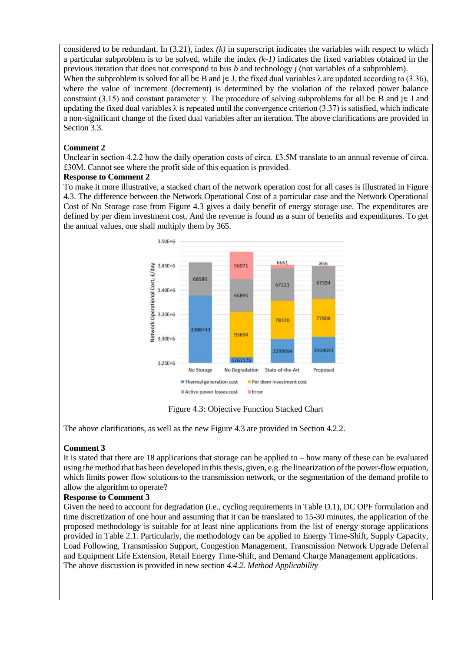considered to be redundant. In (3.21), index *(k)* in superscript indicates the variables with respect to which a particular subproblem is to be solved, while the index *(k-1)* indicates the fixed variables obtained in the previous iteration that does not correspond to bus *b* and technology *j* (not variables of a subproblem).

When the subproblem is solved for all b∈ B and j∈ J, the fixed dual variables  $\lambda$  are updated according to (3.36), where the value of increment (decrement) is determined by the violation of the relaxed power balance constraint (3.15) and constant parameter γ. The procedure of solving subproblems for all b∈ B and j∈ J and updating the fixed dual variables  $\lambda$  is repeated until the convergence criterion (3.37) is satisfied, which indicate a non-significant change of the fixed dual variables after an iteration. The above clarifications are provided in Section 3.3.

## **Comment 2**

Unclear in section 4.2.2 how the daily operation costs of circa. £3.5M translate to an annual revenue of circa. £30M. Cannot see where the profit side of this equation is provided.

## **Response to Comment 2**

To make it more illustrative, a stacked chart of the network operation cost for all cases is illustrated in Figure 4.3. The difference between the Network Operational Cost of a particular case and the Network Operational Cost of No Storage case from Figure 4.3 gives a daily benefit of energy storage use. The expenditures are defined by per diem investment cost. And the revenue is found as a sum of benefits and expenditures. To get the annual values, one shall multiply them by 365.



Figure 4.3: Objective Function Stacked Chart

The above clarifications, as well as the new Figure 4.3 are provided in Section 4.2.2.

## **Comment 3**

It is stated that there are 18 applications that storage can be applied to – how many of these can be evaluated using the method that has been developed in this thesis, given, e.g. the linearization of the power-flow equation, which limits power flow solutions to the transmission network, or the segmentation of the demand profile to allow the algorithm to operate?

## **Response to Comment 3**

Given the need to account for degradation (i.e., cycling requirements in Table D.1), DC OPF formulation and time discretization of one hour and assuming that it can be translated to 15-30 minutes, the application of the proposed methodology is suitable for at least nine applications from the list of energy storage applications provided in Table 2.1. Particularly, the methodology can be applied to Energy Time-Shift, Supply Capacity, Load Following, Transmission Support, Congestion Management, Transmission Network Upgrade Deferral and Equipment Life Extension, Retail Energy Time-Shift, and Demand Charge Management applications. The above discussion is provided in new section *4.4.2. Method Applicability*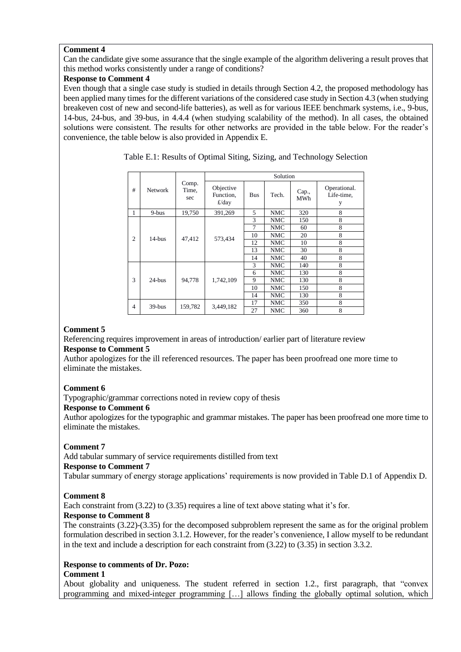## **Comment 4**

Can the candidate give some assurance that the single example of the algorithm delivering a result proves that this method works consistently under a range of conditions?

## **Response to Comment 4**

Even though that a single case study is studied in details through Section 4.2, the proposed methodology has been applied many times for the different variations of the considered case study in Section 4.3 (when studying breakeven cost of new and second-life batteries), as well as for various IEEE benchmark systems, i.e., 9-bus, 14-bus, 24-bus, and 39-bus, in 4.4.4 (when studying scalability of the method). In all cases, the obtained solutions were consistent. The results for other networks are provided in the table below. For the reader's convenience, the table below is also provided in Appendix E.

| #              | <b>Network</b> | Comp.<br>Time,<br>sec | Solution                                  |            |            |              |                                 |
|----------------|----------------|-----------------------|-------------------------------------------|------------|------------|--------------|---------------------------------|
|                |                |                       | Objective<br>Function,<br>$\frac{f}{day}$ | <b>Bus</b> | Tech.      | Cap.,<br>MWh | Operational.<br>Life-time,<br>y |
| 1              | $9-bus$        | 19,750                | 391,269                                   | 5          | <b>NMC</b> | 320          | 8                               |
| $\overline{2}$ | $14$ -bus      | 47,412                | 573,434                                   | 3          | NMC        | 150          | 8                               |
|                |                |                       |                                           | $\tau$     | <b>NMC</b> | 60           | 8                               |
|                |                |                       |                                           | 10         | <b>NMC</b> | 20           | 8                               |
|                |                |                       |                                           | 12         | NMC        | 10           | 8                               |
|                |                |                       |                                           | 13         | NMC        | 30           | 8                               |
|                |                |                       |                                           | 14         | NMC        | 40           | 8                               |
| 3              | $24 - bus$     | 94,778                | 1,742,109                                 | 3          | NMC        | 140          | 8                               |
|                |                |                       |                                           | 6          | NMC        | 130          | 8                               |
|                |                |                       |                                           | 9          | NMC        | 130          | 8                               |
|                |                |                       |                                           | 10         | NMC        | 150          | 8                               |
|                |                |                       |                                           | 14         | <b>NMC</b> | 130          | 8                               |
| $\overline{4}$ | $39-bus$       | 159,782               | 3,449,182                                 | 17         | NMC        | 350          | 8                               |
|                |                |                       |                                           | 27         | NMC        | 360          | 8                               |

Table E.1: Results of Optimal Siting, Sizing, and Technology Selection

## **Comment 5**

Referencing requires improvement in areas of introduction/ earlier part of literature review **Response to Comment 5**

Author apologizes for the ill referenced resources. The paper has been proofread one more time to eliminate the mistakes.

## **Comment 6**

Typographic/grammar corrections noted in review copy of thesis

## **Response to Comment 6**

Author apologizes for the typographic and grammar mistakes. The paper has been proofread one more time to eliminate the mistakes.

## **Comment 7**

Add tabular summary of service requirements distilled from text

## **Response to Comment 7**

Tabular summary of energy storage applications' requirements is now provided in Table D.1 of Appendix D.

## **Comment 8**

Each constraint from (3.22) to (3.35) requires a line of text above stating what it's for.

## **Response to Comment 8**

The constraints (3.22)-(3.35) for the decomposed subproblem represent the same as for the original problem formulation described in section 3.1.2. However, for the reader's convenience, I allow myself to be redundant in the text and include a description for each constraint from (3.22) to (3.35) in section 3.3.2.

# **Response to comments of Dr. Pozo:**

## **Comment 1**

About globality and uniqueness. The student referred in section 1.2., first paragraph, that "convex programming and mixed-integer programming […] allows finding the globally optimal solution, which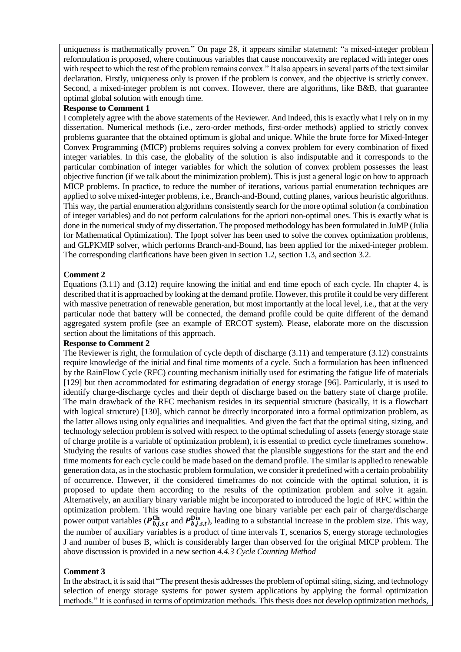uniqueness is mathematically proven." On page 28, it appears similar statement: "a mixed-integer problem reformulation is proposed, where continuous variables that cause nonconvexity are replaced with integer ones with respect to which the rest of the problem remains convex." It also appears in several parts of the text similar declaration. Firstly, uniqueness only is proven if the problem is convex, and the objective is strictly convex. Second, a mixed-integer problem is not convex. However, there are algorithms, like B&B, that guarantee optimal global solution with enough time.

#### **Response to Comment 1**

I completely agree with the above statements of the Reviewer. And indeed, this is exactly what I rely on in my dissertation. Numerical methods (i.e., zero-order methods, first-order methods) applied to strictly convex problems guarantee that the obtained optimum is global and unique. While the brute force for Mixed-Integer Convex Programming (MICP) problems requires solving a convex problem for every combination of fixed integer variables. In this case, the globality of the solution is also indisputable and it corresponds to the particular combination of integer variables for which the solution of convex problem possesses the least objective function (if we talk about the minimization problem). This is just a general logic on how to approach MICP problems. In practice, to reduce the number of iterations, various partial enumeration techniques are applied to solve mixed-integer problems, i.e., Branch-and-Bound, cutting planes, various heuristic algorithms. This way, the partial enumeration algorithms consistently search for the more optimal solution (a combination of integer variables) and do not perform calculations for the apriori non-optimal ones. This is exactly what is done in the numerical study of my dissertation. The proposed methodology has been formulated in JuMP (Julia for Mathematical Optimization). The Ipopt solver has been used to solve the convex optimization problems, and GLPKMIP solver, which performs Branch-and-Bound, has been applied for the mixed-integer problem. The corresponding clarifications have been given in section 1.2, section 1.3, and section 3.2.

#### **Comment 2**

Equations (3.11) and (3.12) require knowing the initial and end time epoch of each cycle. IIn chapter 4, is described that it is approached by looking at the demand profile. However, this profile it could be very different with massive penetration of renewable generation, but most importantly at the local level, i.e., that at the very particular node that battery will be connected, the demand profile could be quite different of the demand aggregated system profile (see an example of ERCOT system). Please, elaborate more on the discussion section about the limitations of this approach.

#### **Response to Comment 2**

The Reviewer is right, the formulation of cycle depth of discharge (3.11) and temperature (3.12) constraints require knowledge of the initial and final time moments of a cycle. Such a formulation has been influenced by the RainFlow Cycle (RFC) counting mechanism initially used for estimating the fatigue life of materials [129] but then accommodated for estimating degradation of energy storage [96]. Particularly, it is used to identify charge-discharge cycles and their depth of discharge based on the battery state of charge profile. The main drawback of the RFC mechanism resides in its sequential structure (basically, it is a flowchart with logical structure) [130], which cannot be directly incorporated into a formal optimization problem, as the latter allows using only equalities and inequalities. And given the fact that the optimal siting, sizing, and technology selection problem is solved with respect to the optimal scheduling of assets (energy storage state of charge profile is a variable of optimization problem), it is essential to predict cycle timeframes somehow. Studying the results of various case studies showed that the plausible suggestions for the start and the end time moments for each cycle could be made based on the demand profile. The similar is applied to renewable generation data, as in the stochastic problem formulation, we consider it predefined with a certain probability of occurrence. However, if the considered timeframes do not coincide with the optimal solution, it is proposed to update them according to the results of the optimization problem and solve it again. Alternatively, an auxiliary binary variable might be incorporated to introduced the logic of RFC within the optimization problem. This would require having one binary variable per each pair of charge/discharge power output variables ( $P_{b,j,s,t}^{Ch}$  and  $P_{b,j,s,t}^{Dis}$ ), leading to a substantial increase in the problem size. This way, the number of auxiliary variables is a product of time intervals T, scenarios S, energy storage technologies J and number of buses B, which is considerably larger than observed for the original MICP problem. The above discussion is provided in a new section *4.4.3 Cycle Counting Method*

#### **Comment 3**

In the abstract, it is said that "The present thesis addresses the problem of optimal siting, sizing, and technology selection of energy storage systems for power system applications by applying the formal optimization methods." It is confused in terms of optimization methods. This thesis does not develop optimization methods,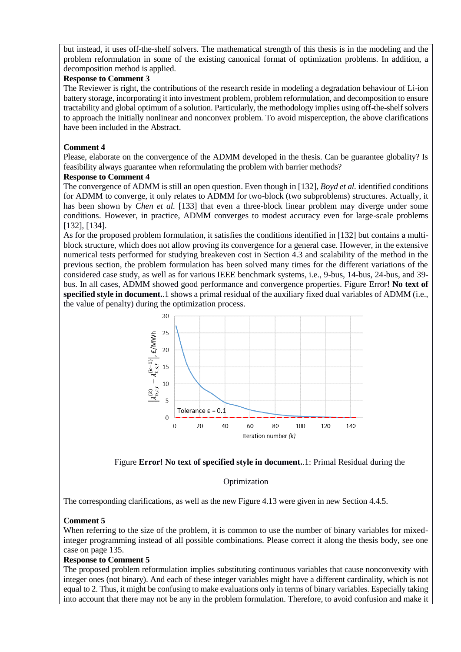but instead, it uses off-the-shelf solvers. The mathematical strength of this thesis is in the modeling and the problem reformulation in some of the existing canonical format of optimization problems. In addition, a decomposition method is applied.

## **Response to Comment 3**

The Reviewer is right, the contributions of the research reside in modeling a degradation behaviour of Li-ion battery storage, incorporating it into investment problem, problem reformulation, and decomposition to ensure tractability and global optimum of a solution. Particularly, the methodology implies using off-the-shelf solvers to approach the initially nonlinear and nonconvex problem. To avoid misperception, the above clarifications have been included in the Abstract.

## **Comment 4**

Please, elaborate on the convergence of the ADMM developed in the thesis. Can be guarantee globality? Is feasibility always guarantee when reformulating the problem with barrier methods?

## **Response to Comment 4**

The convergence of ADMM is still an open question. Even though in [132], *Boyd et al.* identified conditions for ADMM to converge, it only relates to ADMM for two-block (two subproblems) structures. Actually, it has been shown by *Chen et al.* [133] that even a three-block linear problem may diverge under some conditions. However, in practice, ADMM converges to modest accuracy even for large-scale problems [132], [134].

As for the proposed problem formulation, it satisfies the conditions identified in [132] but contains a multiblock structure, which does not allow proving its convergence for a general case. However, in the extensive numerical tests performed for studying breakeven cost in Section 4.3 and scalability of the method in the previous section, the problem formulation has been solved many times for the different variations of the considered case study, as well as for various IEEE benchmark systems, i.e., 9-bus, 14-bus, 24-bus, and 39 bus. In all cases, ADMM showed good performance and convergence properties. [Figure Error](#page-4-0)**! No text of [specified style in document.](#page-4-0)**.1 shows a primal residual of the auxiliary fixed dual variables of ADMM (i.e., the value of penalty) during the optimization process.





## Optimization

<span id="page-4-0"></span>The corresponding clarifications, as well as the new Figure 4.13 were given in new Section 4.4.5.

## **Comment 5**

When referring to the size of the problem, it is common to use the number of binary variables for mixedinteger programming instead of all possible combinations. Please correct it along the thesis body, see one case on page 135.

## **Response to Comment 5**

The proposed problem reformulation implies substituting continuous variables that cause nonconvexity with integer ones (not binary). And each of these integer variables might have a different cardinality, which is not equal to 2. Thus, it might be confusing to make evaluations only in terms of binary variables. Especially taking into account that there may not be any in the problem formulation. Therefore, to avoid confusion and make it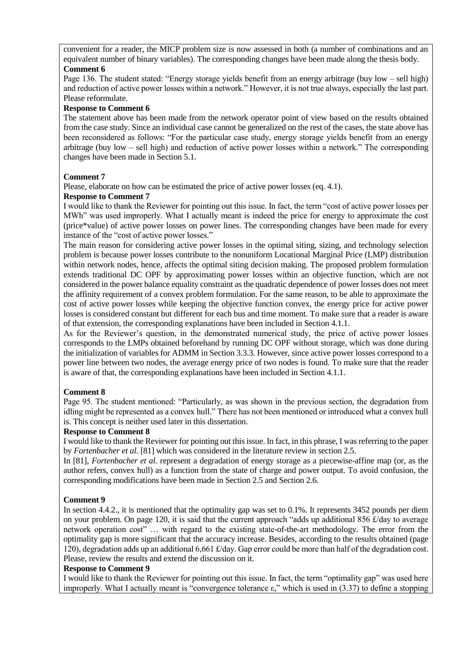convenient for a reader, the MICP problem size is now assessed in both (a number of combinations and an equivalent number of binary variables). The corresponding changes have been made along the thesis body. **Comment 6**

Page 136. The student stated: "Energy storage yields benefit from an energy arbitrage (buy low – sell high) and reduction of active power losses within a network." However, it is not true always, especially the last part. Please reformulate.

#### **Response to Comment 6**

The statement above has been made from the network operator point of view based on the results obtained from the case study. Since an individual case cannot be generalized on the rest of the cases, the state above has been reconsidered as follows: "For the particular case study, energy storage yields benefit from an energy arbitrage (buy low – sell high) and reduction of active power losses within a network." The corresponding changes have been made in Section 5.1.

## **Comment 7**

Please, elaborate on how can be estimated the price of active power losses (eq. 4.1).

#### **Response to Comment 7**

I would like to thank the Reviewer for pointing out this issue. In fact, the term "cost of active power losses per MWh" was used improperly. What I actually meant is indeed the price for energy to approximate the cost (price\*value) of active power losses on power lines. The corresponding changes have been made for every instance of the "cost of active power losses."

The main reason for considering active power losses in the optimal siting, sizing, and technology selection problem is because power losses contribute to the nonuniform Locational Marginal Price (LMP) distribution within network nodes, hence, affects the optimal siting decision making. The proposed problem formulation extends traditional DC OPF by approximating power losses within an objective function, which are not considered in the power balance equality constraint as the quadratic dependence of power losses does not meet the affinity requirement of a convex problem formulation. For the same reason, to be able to approximate the cost of active power losses while keeping the objective function convex, the energy price for active power losses is considered constant but different for each bus and time moment. To make sure that a reader is aware of that extension, the corresponding explanations have been included in Section 4.1.1.

As for the Reviewer's question, in the demonstrated numerical study, the price of active power losses corresponds to the LMPs obtained beforehand by running DC OPF without storage, which was done during the initialization of variables for ADMM in Section 3.3.3. However, since active power losses correspond to a power line between two nodes, the average energy price of two nodes is found. To make sure that the reader is aware of that, the corresponding explanations have been included in Section 4.1.1.

## **Comment 8**

Page 95. The student mentioned: "Particularly, as was shown in the previous section, the degradation from idling might be represented as a convex hull." There has not been mentioned or introduced what a convex hull is. This concept is neither used later in this dissertation.

## **Response to Comment 8**

I would like to thank the Reviewer for pointing out this issue. In fact, in this phrase, I was referring to the paper by *Fortenbacher et al.* [81] which was considered in the literature review in section 2.5.

In [81], *Fortenbacher et al.* represent a degradation of energy storage as a piecewise-affine map (or, as the author refers, convex hull) as a function from the state of charge and power output. To avoid confusion, the corresponding modifications have been made in Section 2.5 and Section 2.6.

## **Comment 9**

In section 4.4.2., it is mentioned that the optimality gap was set to 0.1%. It represents 3452 pounds per diem on your problem. On page 120, it is said that the current approach "adds up additional 856 £/day to average network operation cost" … with regard to the existing state-of-the-art methodology. The error from the optimality gap is more significant that the accuracy increase. Besides, according to the results obtained (page 120), degradation adds up an additional 6,661 £/day. Gap error could be more than half of the degradation cost. Please, review the results and extend the discussion on it.

## **Response to Comment 9**

I would like to thank the Reviewer for pointing out this issue. In fact, the term "optimality gap" was used here improperly. What I actually meant is "convergence tolerance ε," which is used in  $(3.37)$  to define a stopping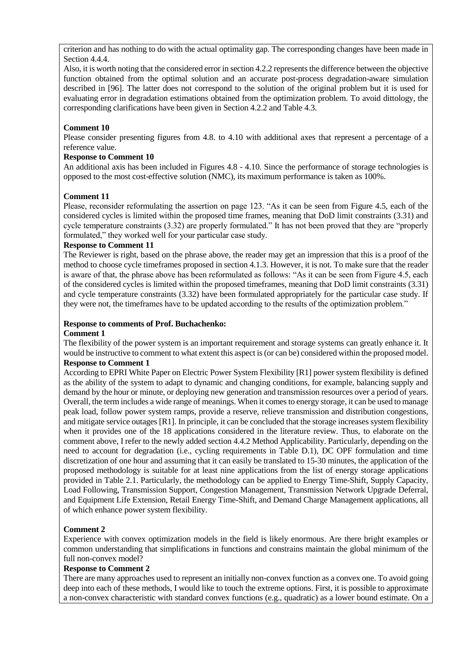criterion and has nothing to do with the actual optimality gap. The corresponding changes have been made in Section 4.4.4.

Also, it is worth noting that the considered error in section 4.2.2 represents the difference between the objective function obtained from the optimal solution and an accurate post-process degradation-aware simulation described in [96]. The latter does not correspond to the solution of the original problem but it is used for evaluating error in degradation estimations obtained from the optimization problem. To avoid dittology, the corresponding clarifications have been given in Section 4.2.2 and Table 4.3.

#### **Comment 10**

Please consider presenting figures from 4.8. to 4.10 with additional axes that represent a percentage of a reference value.

#### **Response to Comment 10**

An additional axis has been included in Figures 4.8 - 4.10. Since the performance of storage technologies is opposed to the most cost-effective solution (NMC), its maximum performance is taken as 100%.

#### **Comment 11**

Please, reconsider reformulating the assertion on page 123. "As it can be seen from Figure 4.5, each of the considered cycles is limited within the proposed time frames, meaning that DoD limit constraints (3.31) and cycle temperature constraints (3.32) are properly formulated." It has not been proved that they are "properly formulated," they worked well for your particular case study.

#### **Response to Comment 11**

The Reviewer is right, based on the phrase above, the reader may get an impression that this is a proof of the method to choose cycle timeframes proposed in section 4.1.3. However, it is not. To make sure that the reader is aware of that, the phrase above has been reformulated as follows: "As it can be seen from Figure 4.5, each of the considered cycles is limited within the proposed timeframes, meaning that DoD limit constraints (3.31) and cycle temperature constraints (3.32) have been formulated appropriately for the particular case study. If they were not, the timeframes have to be updated according to the results of the optimization problem."

# **Response to comments of Prof. Buchachenko:**

#### **Comment 1**

The flexibility of the power system is an important requirement and storage systems can greatly enhance it. It would be instructive to comment to what extent this aspect is (or can be) considered within the proposed model. **Response to Comment 1**

According to EPRI White Paper on Electric Power System Flexibility [R1] power system flexibility is defined as the ability of the system to adapt to dynamic and changing conditions, for example, balancing supply and demand by the hour or minute, or deploying new generation and transmission resources over a period of years. Overall, the term includes a wide range of meanings. When it comes to energy storage, it can be used to manage peak load, follow power system ramps, provide a reserve, relieve transmission and distribution congestions, and mitigate service outages [R1]. In principle, it can be concluded that the storage increases system flexibility when it provides one of the 18 applications considered in the literature review. Thus, to elaborate on the comment above, I refer to the newly added section 4.4.2 Method Applicability. Particularly, depending on the need to account for degradation (i.e., cycling requirements in Table D.1), DC OPF formulation and time discretization of one hour and assuming that it can easily be translated to 15-30 minutes, the application of the proposed methodology is suitable for at least nine applications from the list of energy storage applications provided in Table 2.1. Particularly, the methodology can be applied to Energy Time-Shift, Supply Capacity, Load Following, Transmission Support, Congestion Management, Transmission Network Upgrade Deferral, and Equipment Life Extension, Retail Energy Time-Shift, and Demand Charge Management applications, all of which enhance power system flexibility.

## **Comment 2**

Experience with convex optimization models in the field is likely enormous. Are there bright examples or common understanding that simplifications in functions and constrains maintain the global minimum of the full non-convex model?

#### **Response to Comment 2**

There are many approaches used to represent an initially non-convex function as a convex one. To avoid going deep into each of these methods, I would like to touch the extreme options. First, it is possible to approximate a non-convex characteristic with standard convex functions (e.g., quadratic) as a lower bound estimate. On a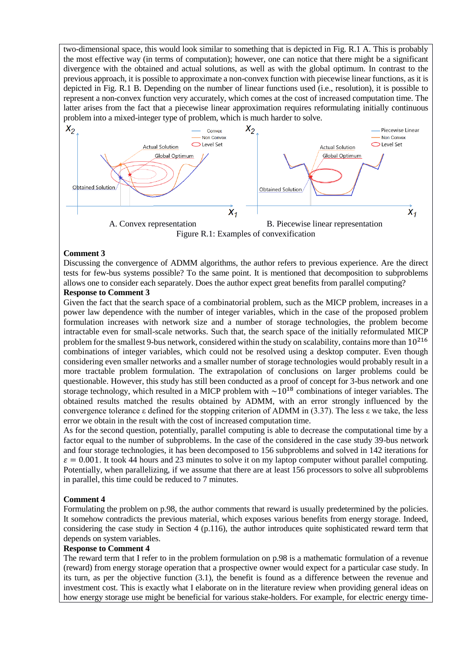two-dimensional space, this would look similar to something that is depicted in Fig. R.1 A. This is probably the most effective way (in terms of computation); however, one can notice that there might be a significant divergence with the obtained and actual solutions, as well as with the global optimum. In contrast to the previous approach, it is possible to approximate a non-convex function with piecewise linear functions, as it is depicted in Fig. R.1 B. Depending on the number of linear functions used (i.e., resolution), it is possible to represent a non-convex function very accurately, which comes at the cost of increased computation time. The latter arises from the fact that a piecewise linear approximation requires reformulating initially continuous problem into a mixed-integer type of problem, which is much harder to solve.



## **Comment 3**

Discussing the convergence of ADMM algorithms, the author refers to previous experience. Are the direct tests for few-bus systems possible? To the same point. It is mentioned that decomposition to subproblems allows one to consider each separately. Does the author expect great benefits from parallel computing?

#### **Response to Comment 3**

Given the fact that the search space of a combinatorial problem, such as the MICP problem, increases in a power law dependence with the number of integer variables, which in the case of the proposed problem formulation increases with network size and a number of storage technologies, the problem become intractable even for small-scale networks. Such that, the search space of the initially reformulated MICP problem for the smallest 9-bus network, considered within the study on scalability, contains more than  $10^{216}$ combinations of integer variables, which could not be resolved using a desktop computer. Even though considering even smaller networks and a smaller number of storage technologies would probably result in a more tractable problem formulation. The extrapolation of conclusions on larger problems could be questionable. However, this study has still been conducted as a proof of concept for 3-bus network and one storage technology, which resulted in a MICP problem with  $\sim 10^{18}$  combinations of integer variables. The obtained results matched the results obtained by ADMM, with an error strongly influenced by the convergence tolerance ε defined for the stopping criterion of ADMM in (3.37). The less ε we take, the less error we obtain in the result with the cost of increased computation time.

As for the second question, potentially, parallel computing is able to decrease the computational time by a factor equal to the number of subproblems. In the case of the considered in the case study 39-bus network and four storage technologies, it has been decomposed to 156 subproblems and solved in 142 iterations for  $\varepsilon = 0.001$ . It took 44 hours and 23 minutes to solve it on my laptop computer without parallel computing. Potentially, when parallelizing, if we assume that there are at least 156 processors to solve all subproblems in parallel, this time could be reduced to 7 minutes.

#### **Comment 4**

Formulating the problem on p.98, the author comments that reward is usually predetermined by the policies. It somehow contradicts the previous material, which exposes various benefits from energy storage. Indeed, considering the case study in Section 4 (p.116), the author introduces quite sophisticated reward term that depends on system variables.

#### **Response to Comment 4**

The reward term that I refer to in the problem formulation on p.98 is a mathematic formulation of a revenue (reward) from energy storage operation that a prospective owner would expect for a particular case study. In its turn, as per the objective function (3.1), the benefit is found as a difference between the revenue and investment cost. This is exactly what I elaborate on in the literature review when providing general ideas on how energy storage use might be beneficial for various stake-holders. For example, for electric energy time-